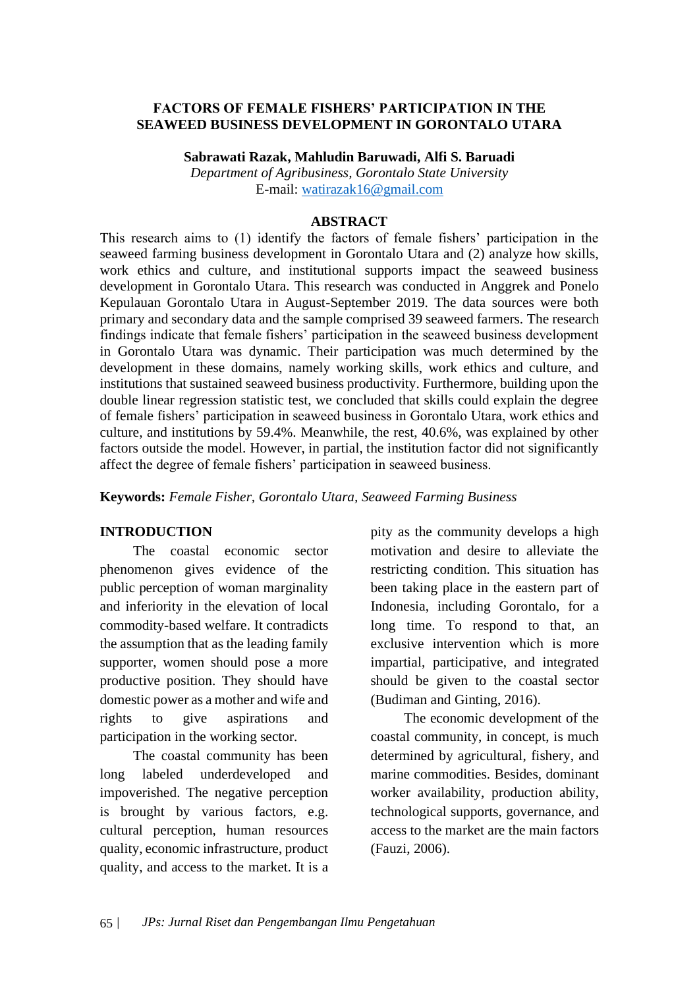#### **FACTORS OF FEMALE FISHERS' PARTICIPATION IN THE SEAWEED BUSINESS DEVELOPMENT IN GORONTALO UTARA**

**Sabrawati Razak, Mahludin Baruwadi, Alfi S. Baruadi**

*Department of Agribusiness, Gorontalo State University* E-mail: [watirazak16@gmail.com](mailto:watirazak16@gmail.com)

#### **ABSTRACT**

This research aims to (1) identify the factors of female fishers' participation in the seaweed farming business development in Gorontalo Utara and (2) analyze how skills, work ethics and culture, and institutional supports impact the seaweed business development in Gorontalo Utara. This research was conducted in Anggrek and Ponelo Kepulauan Gorontalo Utara in August-September 2019. The data sources were both primary and secondary data and the sample comprised 39 seaweed farmers. The research findings indicate that female fishers' participation in the seaweed business development in Gorontalo Utara was dynamic. Their participation was much determined by the development in these domains, namely working skills, work ethics and culture, and institutions that sustained seaweed business productivity. Furthermore, building upon the double linear regression statistic test, we concluded that skills could explain the degree of female fishers' participation in seaweed business in Gorontalo Utara, work ethics and culture, and institutions by 59.4%. Meanwhile, the rest, 40.6%, was explained by other factors outside the model. However, in partial, the institution factor did not significantly affect the degree of female fishers' participation in seaweed business.

**Keywords:** *Female Fisher, Gorontalo Utara, Seaweed Farming Business*

#### **INTRODUCTION**

The coastal economic sector phenomenon gives evidence of the public perception of woman marginality and inferiority in the elevation of local commodity-based welfare. It contradicts the assumption that as the leading family supporter, women should pose a more productive position. They should have domestic power as a mother and wife and rights to give aspirations and participation in the working sector.

The coastal community has been long labeled underdeveloped and impoverished. The negative perception is brought by various factors, e.g. cultural perception, human resources quality, economic infrastructure, product quality, and access to the market. It is a pity as the community develops a high motivation and desire to alleviate the restricting condition. This situation has been taking place in the eastern part of Indonesia, including Gorontalo, for a long time. To respond to that, an exclusive intervention which is more impartial, participative, and integrated should be given to the coastal sector (Budiman and Ginting, 2016).

The economic development of the coastal community, in concept, is much determined by agricultural, fishery, and marine commodities. Besides, dominant worker availability, production ability, technological supports, governance, and access to the market are the main factors (Fauzi, 2006).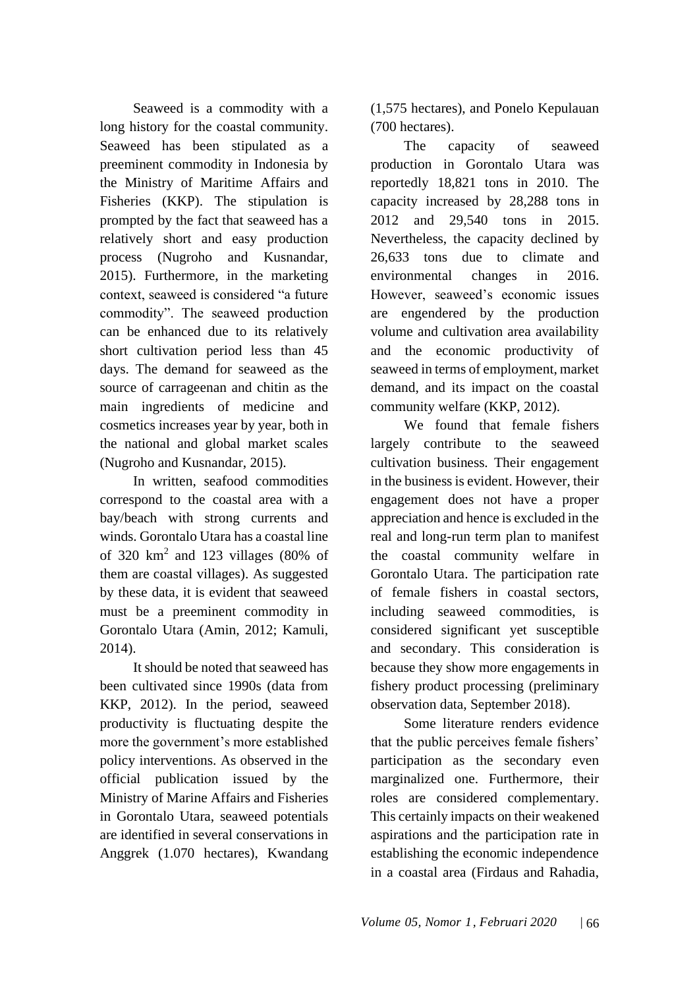Seaweed is a commodity with a long history for the coastal community. Seaweed has been stipulated as a preeminent commodity in Indonesia by the Ministry of Maritime Affairs and Fisheries (KKP). The stipulation is prompted by the fact that seaweed has a relatively short and easy production process (Nugroho and Kusnandar, 2015). Furthermore, in the marketing context, seaweed is considered "a future commodity". The seaweed production can be enhanced due to its relatively short cultivation period less than 45 days. The demand for seaweed as the source of carrageenan and chitin as the main ingredients of medicine and cosmetics increases year by year, both in the national and global market scales (Nugroho and Kusnandar, 2015).

In written, seafood commodities correspond to the coastal area with a bay/beach with strong currents and winds. Gorontalo Utara has a coastal line of 320  $km^2$  and 123 villages (80% of them are coastal villages). As suggested by these data, it is evident that seaweed must be a preeminent commodity in Gorontalo Utara (Amin, 2012; Kamuli, 2014).

It should be noted that seaweed has been cultivated since 1990s (data from KKP, 2012). In the period, seaweed productivity is fluctuating despite the more the government's more established policy interventions. As observed in the official publication issued by the Ministry of Marine Affairs and Fisheries in Gorontalo Utara, seaweed potentials are identified in several conservations in Anggrek (1.070 hectares), Kwandang

(1,575 hectares), and Ponelo Kepulauan (700 hectares).

The capacity of seaweed production in Gorontalo Utara was reportedly 18,821 tons in 2010. The capacity increased by 28,288 tons in 2012 and 29,540 tons in 2015. Nevertheless, the capacity declined by 26,633 tons due to climate and environmental changes in 2016. However, seaweed's economic issues are engendered by the production volume and cultivation area availability and the economic productivity of seaweed in terms of employment, market demand, and its impact on the coastal community welfare (KKP, 2012).

We found that female fishers largely contribute to the seaweed cultivation business. Their engagement in the business is evident. However, their engagement does not have a proper appreciation and hence is excluded in the real and long-run term plan to manifest the coastal community welfare in Gorontalo Utara. The participation rate of female fishers in coastal sectors, including seaweed commodities, is considered significant yet susceptible and secondary. This consideration is because they show more engagements in fishery product processing (preliminary observation data, September 2018).

Some literature renders evidence that the public perceives female fishers' participation as the secondary even marginalized one. Furthermore, their roles are considered complementary. This certainly impacts on their weakened aspirations and the participation rate in establishing the economic independence in a coastal area (Firdaus and Rahadia,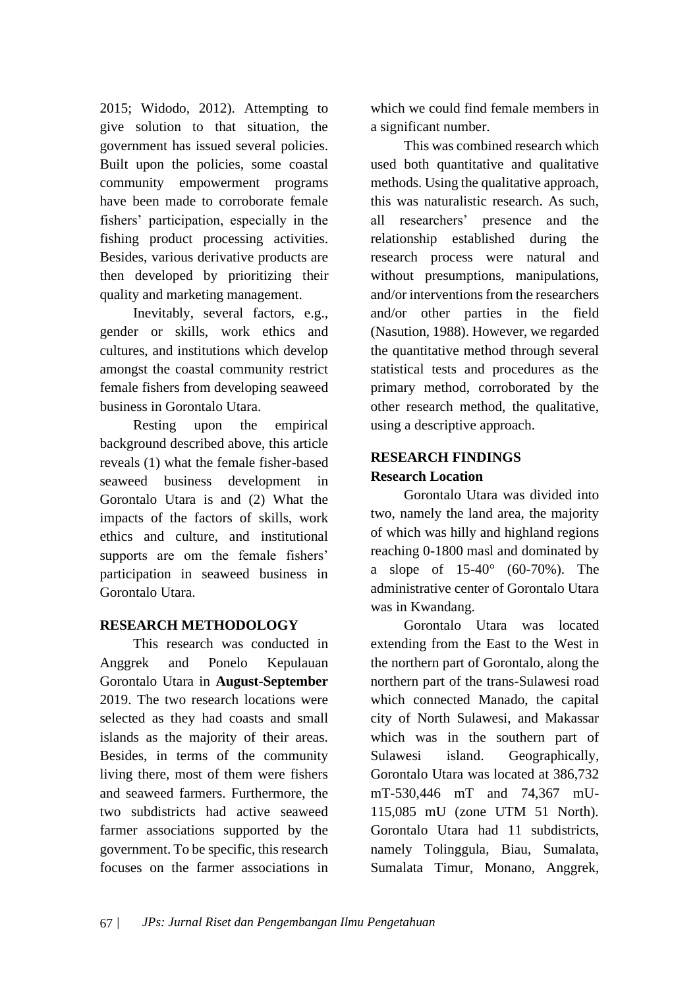2015; Widodo, 2012). Attempting to give solution to that situation, the government has issued several policies. Built upon the policies, some coastal community empowerment programs have been made to corroborate female fishers' participation, especially in the fishing product processing activities. Besides, various derivative products are then developed by prioritizing their quality and marketing management.

Inevitably, several factors, e.g., gender or skills, work ethics and cultures, and institutions which develop amongst the coastal community restrict female fishers from developing seaweed business in Gorontalo Utara.

Resting upon the empirical background described above, this article reveals (1) what the female fisher-based seaweed business development in Gorontalo Utara is and (2) What the impacts of the factors of skills, work ethics and culture, and institutional supports are om the female fishers' participation in seaweed business in Gorontalo Utara.

## **RESEARCH METHODOLOGY**

This research was conducted in Anggrek and Ponelo Kepulauan Gorontalo Utara in **August-September**  2019. The two research locations were selected as they had coasts and small islands as the majority of their areas. Besides, in terms of the community living there, most of them were fishers and seaweed farmers. Furthermore, the two subdistricts had active seaweed farmer associations supported by the government. To be specific, this research focuses on the farmer associations in which we could find female members in a significant number.

This was combined research which used both quantitative and qualitative methods. Using the qualitative approach, this was naturalistic research. As such, all researchers' presence and the relationship established during the research process were natural and without presumptions, manipulations, and/or interventions from the researchers and/or other parties in the field (Nasution, 1988). However, we regarded the quantitative method through several statistical tests and procedures as the primary method, corroborated by the other research method, the qualitative, using a descriptive approach.

# **RESEARCH FINDINGS Research Location**

Gorontalo Utara was divided into two, namely the land area, the majority of which was hilly and highland regions reaching 0-1800 masl and dominated by a slope of 15-40° (60-70%). The administrative center of Gorontalo Utara was in Kwandang.

Gorontalo Utara was located extending from the East to the West in the northern part of Gorontalo, along the northern part of the trans-Sulawesi road which connected Manado, the capital city of North Sulawesi, and Makassar which was in the southern part of Sulawesi island. Geographically, Gorontalo Utara was located at 386,732 mT-530,446 mT and 74,367 mU-115,085 mU (zone UTM 51 North). Gorontalo Utara had 11 subdistricts, namely Tolinggula, Biau, Sumalata, Sumalata Timur, Monano, Anggrek,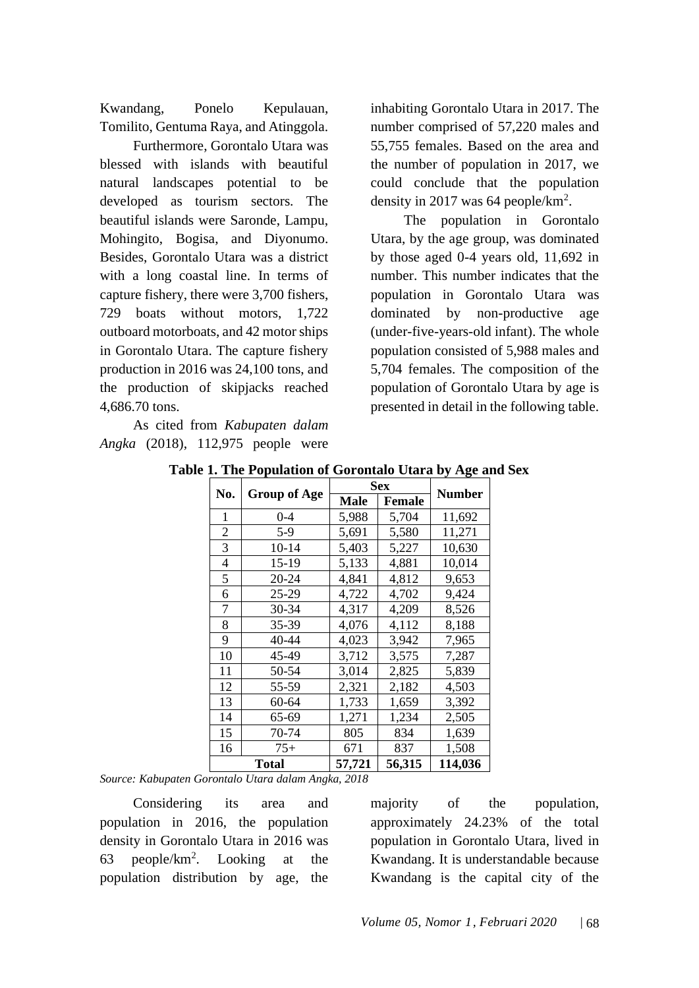Kwandang, Ponelo Kepulauan, Tomilito, Gentuma Raya, and Atinggola.

Furthermore, Gorontalo Utara was blessed with islands with beautiful natural landscapes potential to be developed as tourism sectors. The beautiful islands were Saronde, Lampu, Mohingito, Bogisa, and Diyonumo. Besides, Gorontalo Utara was a district with a long coastal line. In terms of capture fishery, there were 3,700 fishers, 729 boats without motors, 1,722 outboard motorboats, and 42 motor ships in Gorontalo Utara. The capture fishery production in 2016 was 24,100 tons, and the production of skipjacks reached 4,686.70 tons.

As cited from *Kabupaten dalam Angka* (2018), 112,975 people were inhabiting Gorontalo Utara in 2017. The number comprised of 57,220 males and 55,755 females. Based on the area and the number of population in 2017, we could conclude that the population density in 2017 was 64 people/ $km^2$ .

The population in Gorontalo Utara, by the age group, was dominated by those aged 0-4 years old, 11,692 in number. This number indicates that the population in Gorontalo Utara was dominated by non-productive age (under-five-years-old infant). The whole population consisted of 5,988 males and 5,704 females. The composition of the population of Gorontalo Utara by age is presented in detail in the following table.

|                | <b>Group of Age</b> | <b>Sex</b> |               |               |
|----------------|---------------------|------------|---------------|---------------|
| No.            |                     | Male       | <b>Female</b> | <b>Number</b> |
| 1              | 0-4                 | 5,988      | 5,704         | 11,692        |
| $\overline{c}$ | $5-9$               | 5,691      | 5,580         | 11,271        |
| 3              | 10-14               | 5,403      | 5,227         | 10,630        |
| 4              | 15-19               | 5,133      | 4,881         | 10,014        |
| 5              | 20-24               | 4,841      | 4,812         | 9,653         |
| 6              | 25-29               | 4,722      | 4,702         | 9,424         |
| 7              | 30-34               | 4,317      | 4,209         | 8,526         |
| 8              | 35-39               | 4,076      | 4,112         | 8,188         |
| 9              | 40-44               | 4,023      | 3,942         | 7,965         |
| 10             | 45-49               | 3,712      | 3,575         | 7,287         |
| 11             | 50-54               | 3,014      | 2,825         | 5,839         |
| 12             | 55-59               | 2,321      | 2,182         | 4,503         |
| 13             | 60-64               | 1,733      | 1,659         | 3,392         |
| 14             | 65-69               | 1,271      | 1,234         | 2,505         |
| 15             | 70-74               | 805        | 834           | 1,639         |
| 16             | $75+$               | 671        | 837           | 1,508         |
|                | Total               | 57,721     | 56,315        | 114,036       |

**Table 1. The Population of Gorontalo Utara by Age and Sex**

*Source: Kabupaten Gorontalo Utara dalam Angka, 2018*

Considering its area and population in 2016, the population density in Gorontalo Utara in 2016 was 63 people/km<sup>2</sup> . Looking at the population distribution by age, the

majority of the population, approximately 24.23% of the total population in Gorontalo Utara, lived in Kwandang. It is understandable because Kwandang is the capital city of the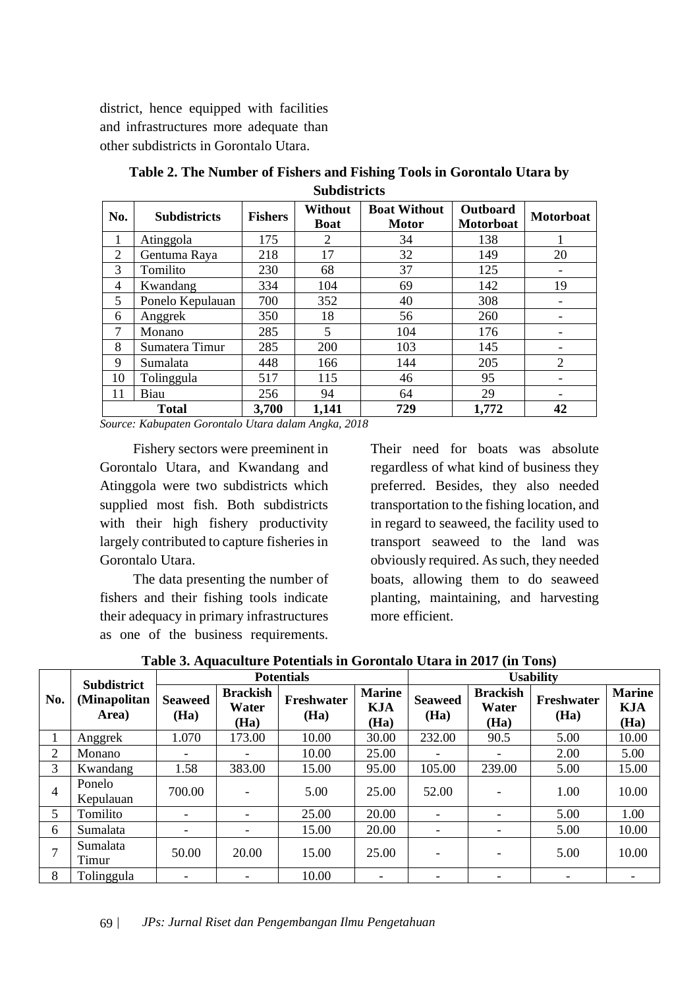district, hence equipped with facilities and infrastructures more adequate than other subdistricts in Gorontalo Utara.

| No.            | <b>Subdistricts</b> | <b>Fishers</b> | <b>Without</b><br><b>Boat</b> | <b>Boat Without</b><br><b>Motor</b> | Outboard<br><b>Motorboat</b> | <b>Motorboat</b>         |  |
|----------------|---------------------|----------------|-------------------------------|-------------------------------------|------------------------------|--------------------------|--|
| 1              | Atinggola           | 175            | 2                             | 34                                  | 138                          |                          |  |
| $\overline{2}$ | Gentuma Raya        | 218            | 17                            | 32                                  | 149                          | 20                       |  |
| 3              | Tomilito            | 230            | 68                            | 37                                  | 125                          |                          |  |
| $\overline{4}$ | Kwandang            | 334            | 104                           | 69                                  | 142                          | 19                       |  |
| 5              | Ponelo Kepulauan    | 700            | 352                           | 40                                  | 308                          | $\overline{\phantom{a}}$ |  |
| 6              | Anggrek             | 350            | 18                            | 56                                  | 260                          | $\overline{\phantom{a}}$ |  |
| 7              | Monano              | 285            | 5                             | 104                                 | 176                          |                          |  |
| 8              | Sumatera Timur      | 285            | 200                           | 103                                 | 145                          |                          |  |
| 9              | Sumalata            | 448            | 166                           | 144                                 | 205                          | $\overline{2}$           |  |
| 10             | Tolinggula          | 517            | 115                           | 46                                  | 95                           | $\overline{\phantom{a}}$ |  |
| 11             | Biau                | 256            | 94                            | 64                                  | 29                           | $\overline{\phantom{a}}$ |  |
| <b>Total</b>   |                     | 3,700          | 1,141                         | 729                                 | 1,772                        | 42                       |  |

**Table 2. The Number of Fishers and Fishing Tools in Gorontalo Utara by Subdistricts**

*Source: Kabupaten Gorontalo Utara dalam Angka, 2018*

Fishery sectors were preeminent in Gorontalo Utara, and Kwandang and Atinggola were two subdistricts which supplied most fish. Both subdistricts with their high fishery productivity largely contributed to capture fisheries in Gorontalo Utara.

The data presenting the number of fishers and their fishing tools indicate their adequacy in primary infrastructures as one of the business requirements.

Their need for boats was absolute regardless of what kind of business they preferred. Besides, they also needed transportation to the fishing location, and in regard to seaweed, the facility used to transport seaweed to the land was obviously required. As such, they needed boats, allowing them to do seaweed planting, maintaining, and harvesting more efficient.

|                | <b>Subdistrict</b>    | <b>Potentials</b>      |                                  |                    |                                     | <b>Usability</b>         |                                  |                    |                                     |
|----------------|-----------------------|------------------------|----------------------------------|--------------------|-------------------------------------|--------------------------|----------------------------------|--------------------|-------------------------------------|
| No.            | (Minapolitan<br>Area) | <b>Seaweed</b><br>(Ha) | <b>Brackish</b><br>Water<br>(Ha) | Freshwater<br>(Ha) | <b>Marine</b><br><b>KJA</b><br>(Ha) | <b>Seaweed</b><br>(Ha)   | <b>Brackish</b><br>Water<br>(Ha) | Freshwater<br>(Ha) | <b>Marine</b><br><b>KJA</b><br>(Ha) |
|                | Anggrek               | 1.070                  | 173.00                           | 10.00              | 30.00                               | 232.00                   | 90.5                             | 5.00               | 10.00                               |
| 2              | Monano                |                        |                                  | 10.00              | 25.00                               |                          |                                  | 2.00               | 5.00                                |
| 3              | Kwandang              | 1.58                   | 383.00                           | 15.00              | 95.00                               | 105.00                   | 239.00                           | 5.00               | 15.00                               |
| 4              | Ponelo<br>Kepulauan   | 700.00                 |                                  | 5.00               | 25.00                               | 52.00                    |                                  | 1.00               | 10.00                               |
| 5              | Tomilito              |                        | $\overline{\phantom{0}}$         | 25.00              | 20.00                               | $\overline{\phantom{0}}$ | $\overline{\phantom{0}}$         | 5.00               | 1.00                                |
| 6              | Sumalata              |                        |                                  | 15.00              | 20.00                               | $\overline{\phantom{0}}$ | $\overline{\phantom{0}}$         | 5.00               | 10.00                               |
| $\overline{ }$ | Sumalata<br>Timur     | 50.00                  | 20.00                            | 15.00              | 25.00                               |                          | $\overline{\phantom{0}}$         | 5.00               | 10.00                               |
| 8              | Tolinggula            |                        |                                  | 10.00              | $\overline{\phantom{0}}$            | -                        | -                                |                    | $\overline{\phantom{0}}$            |

**Table 3. Aquaculture Potentials in Gorontalo Utara in 2017 (in Tons)**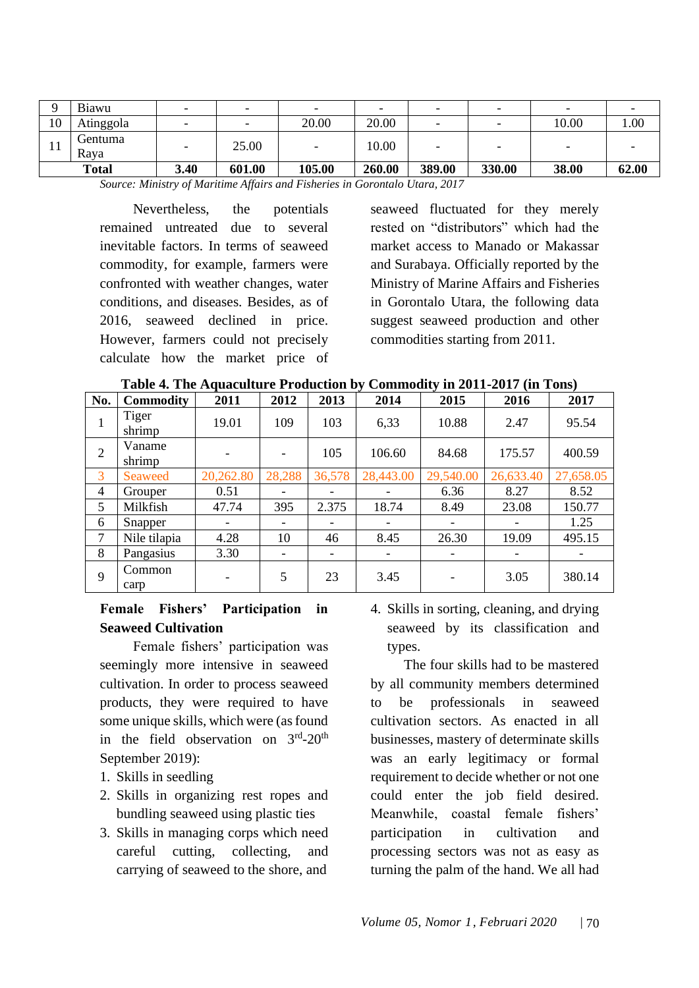| O  | Biawu           | $\overline{\phantom{0}}$ | $\overline{\phantom{a}}$ | $\overline{\phantom{0}}$ | $\overline{\phantom{0}}$ | $\overline{\phantom{0}}$ | -                        |                          |       |
|----|-----------------|--------------------------|--------------------------|--------------------------|--------------------------|--------------------------|--------------------------|--------------------------|-------|
| 10 | Atinggola       | $\overline{\phantom{0}}$ | $\overline{\phantom{0}}$ | 20.00                    | 20.00                    | $\overline{\phantom{0}}$ | $\overline{\phantom{0}}$ | 10.00                    | .00.  |
| 11 | Gentuma<br>Rava |                          | 25.00                    | $\overline{\phantom{a}}$ | 10.00                    | $\overline{\phantom{0}}$ | -                        | $\overline{\phantom{0}}$ |       |
|    | <b>Total</b>    | 3.40                     | 601.00                   | 105.00                   | 260.00                   | 389.00                   | 330.00                   | 38.00                    | 62.00 |

*Source: Ministry of Maritime Affairs and Fisheries in Gorontalo Utara, 2017*

Nevertheless, the potentials remained untreated due to several inevitable factors. In terms of seaweed commodity, for example, farmers were confronted with weather changes, water conditions, and diseases. Besides, as of 2016, seaweed declined in price. However, farmers could not precisely calculate how the market price of seaweed fluctuated for they merely rested on "distributors" which had the market access to Manado or Makassar and Surabaya. Officially reported by the Ministry of Marine Affairs and Fisheries in Gorontalo Utara, the following data suggest seaweed production and other commodities starting from 2011.

| Table 4. The Aquaculture Production by Commodity in 2011-2017 (in Tons) |  |  |
|-------------------------------------------------------------------------|--|--|
|-------------------------------------------------------------------------|--|--|

| No.            | <b>Commodity</b> | 2011      | 2012   | 2013   | 2014      | 2015      | 2016      | 2017      |
|----------------|------------------|-----------|--------|--------|-----------|-----------|-----------|-----------|
| 1              | Tiger<br>shrimp  | 19.01     | 109    | 103    | 6,33      | 10.88     | 2.47      | 95.54     |
| 2              | Vaname<br>shrimp |           |        | 105    | 106.60    | 84.68     | 175.57    | 400.59    |
| 3              | Seaweed          | 20,262.80 | 28,288 | 36,578 | 28,443.00 | 29,540.00 | 26,633.40 | 27,658.05 |
| $\overline{4}$ | Grouper          | 0.51      |        |        |           | 6.36      | 8.27      | 8.52      |
| 5              | Milkfish         | 47.74     | 395    | 2.375  | 18.74     | 8.49      | 23.08     | 150.77    |
| 6              | Snapper          |           |        |        |           |           |           | 1.25      |
| 7              | Nile tilapia     | 4.28      | 10     | 46     | 8.45      | 26.30     | 19.09     | 495.15    |
| 8              | Pangasius        | 3.30      |        |        |           |           |           |           |
| 9              | Common<br>carp   |           | 5      | 23     | 3.45      | -         | 3.05      | 380.14    |

## **Female Fishers' Participation in Seaweed Cultivation**

Female fishers' participation was seemingly more intensive in seaweed cultivation. In order to process seaweed products, they were required to have some unique skills, which were (as found in the field observation on  $3<sup>rd</sup> - 20<sup>th</sup>$ September 2019):

- 1. Skills in seedling
- 2. Skills in organizing rest ropes and bundling seaweed using plastic ties
- 3. Skills in managing corps which need careful cutting, collecting, and carrying of seaweed to the shore, and

4. Skills in sorting, cleaning, and drying seaweed by its classification and types.

The four skills had to be mastered by all community members determined to be professionals in seaweed cultivation sectors. As enacted in all businesses, mastery of determinate skills was an early legitimacy or formal requirement to decide whether or not one could enter the job field desired. Meanwhile, coastal female fishers' participation in cultivation and processing sectors was not as easy as turning the palm of the hand. We all had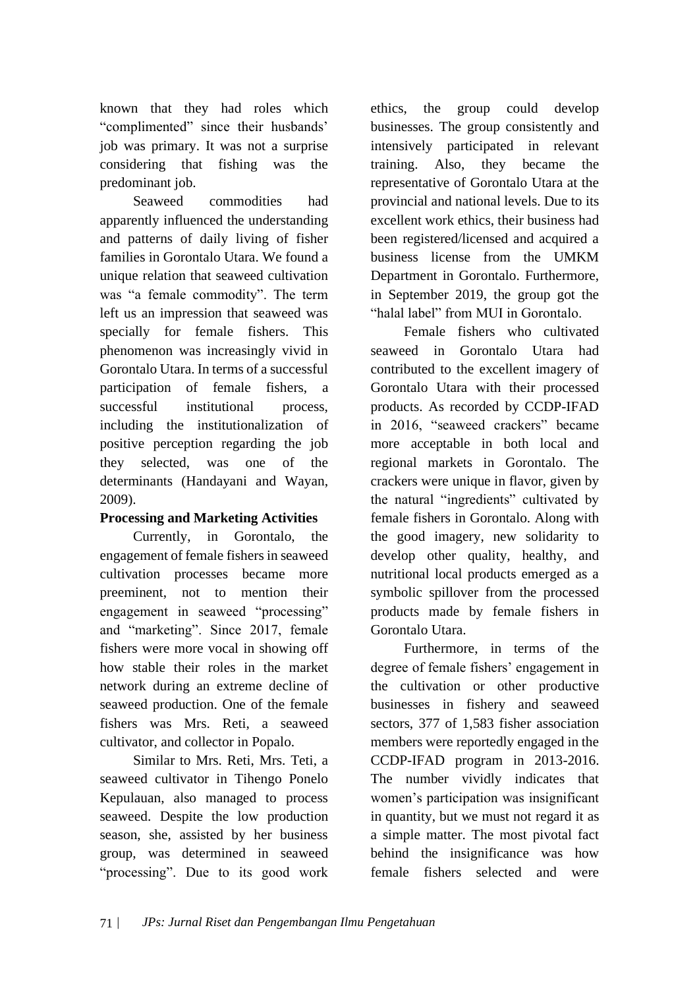known that they had roles which "complimented" since their husbands' job was primary. It was not a surprise considering that fishing was the predominant job.

Seaweed commodities had apparently influenced the understanding and patterns of daily living of fisher families in Gorontalo Utara. We found a unique relation that seaweed cultivation was "a female commodity". The term left us an impression that seaweed was specially for female fishers. This phenomenon was increasingly vivid in Gorontalo Utara. In terms of a successful participation of female fishers, a successful institutional process. including the institutionalization of positive perception regarding the job they selected, was one of the determinants (Handayani and Wayan, 2009).

# **Processing and Marketing Activities**

Currently, in Gorontalo, the engagement of female fishers in seaweed cultivation processes became more preeminent, not to mention their engagement in seaweed "processing" and "marketing". Since 2017, female fishers were more vocal in showing off how stable their roles in the market network during an extreme decline of seaweed production. One of the female fishers was Mrs. Reti, a seaweed cultivator, and collector in Popalo.

Similar to Mrs. Reti, Mrs. Teti, a seaweed cultivator in Tihengo Ponelo Kepulauan, also managed to process seaweed. Despite the low production season, she, assisted by her business group, was determined in seaweed "processing". Due to its good work

ethics, the group could develop businesses. The group consistently and intensively participated in relevant training. Also, they became the representative of Gorontalo Utara at the provincial and national levels. Due to its excellent work ethics, their business had been registered/licensed and acquired a business license from the UMKM Department in Gorontalo. Furthermore, in September 2019, the group got the "halal label" from MUI in Gorontalo.

Female fishers who cultivated seaweed in Gorontalo Utara had contributed to the excellent imagery of Gorontalo Utara with their processed products. As recorded by CCDP-IFAD in 2016, "seaweed crackers" became more acceptable in both local and regional markets in Gorontalo. The crackers were unique in flavor, given by the natural "ingredients" cultivated by female fishers in Gorontalo. Along with the good imagery, new solidarity to develop other quality, healthy, and nutritional local products emerged as a symbolic spillover from the processed products made by female fishers in Gorontalo Utara.

Furthermore, in terms of the degree of female fishers' engagement in the cultivation or other productive businesses in fishery and seaweed sectors, 377 of 1,583 fisher association members were reportedly engaged in the CCDP-IFAD program in 2013-2016. The number vividly indicates that women's participation was insignificant in quantity, but we must not regard it as a simple matter. The most pivotal fact behind the insignificance was how female fishers selected and were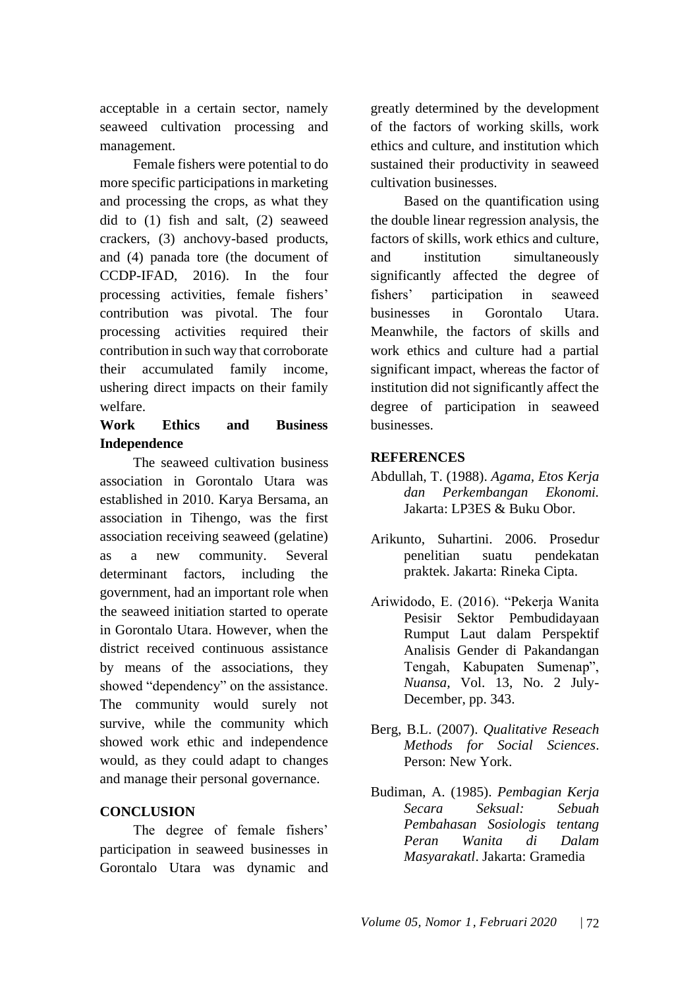acceptable in a certain sector, namely seaweed cultivation processing and management.

Female fishers were potential to do more specific participations in marketing and processing the crops, as what they did to (1) fish and salt, (2) seaweed crackers, (3) anchovy-based products, and (4) panada tore (the document of CCDP-IFAD, 2016). In the four processing activities, female fishers' contribution was pivotal. The four processing activities required their contribution in such way that corroborate their accumulated family income, ushering direct impacts on their family welfare.

## **Work Ethics and Business Independence**

The seaweed cultivation business association in Gorontalo Utara was established in 2010. Karya Bersama, an association in Tihengo, was the first association receiving seaweed (gelatine) as a new community. Several determinant factors, including the government, had an important role when the seaweed initiation started to operate in Gorontalo Utara. However, when the district received continuous assistance by means of the associations, they showed "dependency" on the assistance. The community would surely not survive, while the community which showed work ethic and independence would, as they could adapt to changes and manage their personal governance.

# **CONCLUSION**

The degree of female fishers' participation in seaweed businesses in Gorontalo Utara was dynamic and

greatly determined by the development of the factors of working skills, work ethics and culture, and institution which sustained their productivity in seaweed cultivation businesses.

Based on the quantification using the double linear regression analysis, the factors of skills, work ethics and culture, and institution simultaneously significantly affected the degree of fishers' participation in seaweed businesses in Gorontalo Utara. Meanwhile, the factors of skills and work ethics and culture had a partial significant impact, whereas the factor of institution did not significantly affect the degree of participation in seaweed businesses.

## **REFERENCES**

- Abdullah, T. (1988). *Agama, Etos Kerja dan Perkembangan Ekonomi.* Jakarta: LP3ES & Buku Obor.
- Arikunto, Suhartini. 2006. Prosedur penelitian suatu pendekatan praktek. Jakarta: Rineka Cipta.
- Ariwidodo, E. (2016). "Pekerja Wanita Pesisir Sektor Pembudidayaan Rumput Laut dalam Perspektif Analisis Gender di Pakandangan Tengah, Kabupaten Sumenap", *Nuansa,* Vol. 13, No. 2 July-December, pp. 343.
- Berg, B.L. (2007). *Qualitative Reseach Methods for Social Sciences*. Person: New York.
- Budiman, A. (1985). *Pembagian Kerja Secara Seksual: Sebuah Pembahasan Sosiologis tentang Peran Wanita di Dalam Masyarakatl*. Jakarta: Gramedia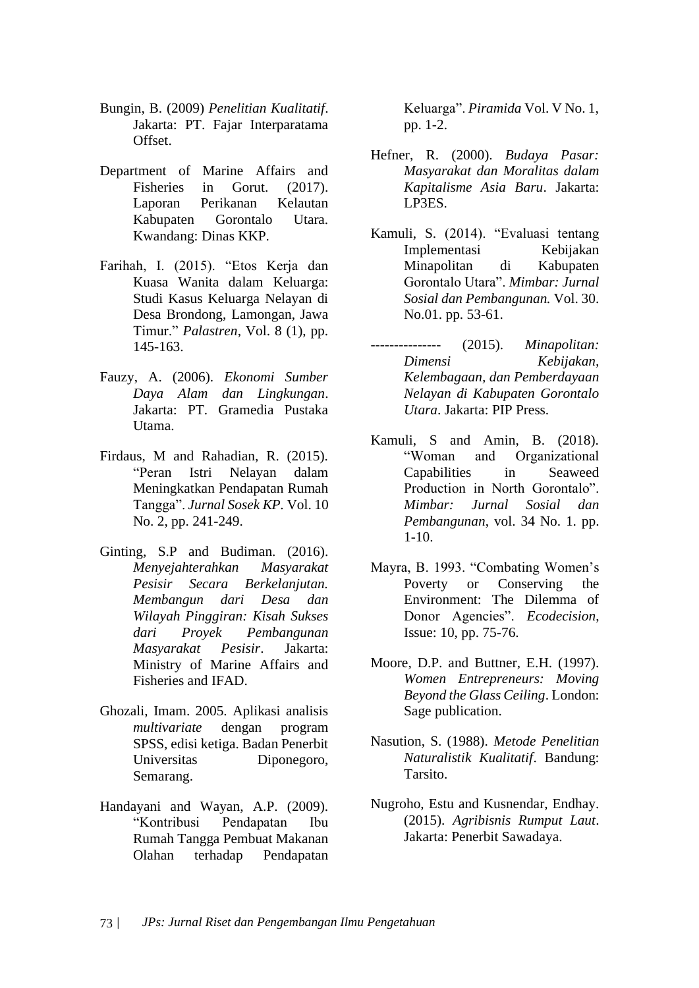- Bungin, B. (2009) *Penelitian Kualitatif*. Jakarta: PT. Fajar Interparatama Offset.
- Department of Marine Affairs and Fisheries in Gorut. (2017). Laporan Perikanan Kelautan Kabupaten Gorontalo Utara*.* Kwandang: Dinas KKP.
- Farihah, I. (2015). "Etos Kerja dan Kuasa Wanita dalam Keluarga: Studi Kasus Keluarga Nelayan di Desa Brondong, Lamongan, Jawa Timur." *Palastren*, Vol. 8 (1), pp. 145-163.
- Fauzy, A. (2006). *Ekonomi Sumber Daya Alam dan Lingkungan*. Jakarta: PT. Gramedia Pustaka Utama.
- Firdaus, M and Rahadian, R. (2015). "Peran Istri Nelayan dalam Meningkatkan Pendapatan Rumah Tangga". *Jurnal Sosek KP.* Vol. 10 No. 2, pp. 241-249.
- Ginting, S.P and Budiman. (2016). *Menyejahterahkan Masyarakat Pesisir Secara Berkelanjutan. Membangun dari Desa dan Wilayah Pinggiran: Kisah Sukses dari Proyek Pembangunan Masyarakat Pesisir*. Jakarta: Ministry of Marine Affairs and Fisheries and IFAD.
- Ghozali, Imam. 2005. Aplikasi analisis *multivariate* dengan program SPSS, edisi ketiga. Badan Penerbit Universitas Diponegoro, Semarang.
- Handayani and Wayan, A.P. (2009). "Kontribusi Pendapatan Ibu Rumah Tangga Pembuat Makanan Olahan terhadap Pendapatan

Keluarga". *Piramida* Vol. V No. 1, pp. 1-2.

- Hefner, R. (2000). *Budaya Pasar: Masyarakat dan Moralitas dalam Kapitalisme Asia Baru*. Jakarta: LP3ES.
- Kamuli, S. (2014). "Evaluasi tentang Implementasi Kebijakan Minapolitan di Kabupaten Gorontalo Utara". *Mimbar: Jurnal Sosial dan Pembangunan.* Vol. 30. No.01. pp. 53-61.
- --------------- (2015). *Minapolitan: Dimensi Kebijakan, Kelembagaan, dan Pemberdayaan Nelayan di Kabupaten Gorontalo Utara*. Jakarta: PIP Press.
- Kamuli, S and Amin, B. (2018). "Woman and Organizational Capabilities in Seaweed Production in North Gorontalo". *Mimbar: Jurnal Sosial dan Pembangunan*, vol. 34 No. 1. pp. 1-10.
- Mayra, B. 1993. "Combating Women's Poverty or Conserving the Environment: The Dilemma of Donor Agencies". *Ecodecision*, Issue: 10, pp. 75-76.
- Moore, D.P. and Buttner, E.H. (1997). *Women Entrepreneurs: Moving Beyond the Glass Ceiling*. London: Sage publication.
- Nasution, S. (1988). *Metode Penelitian Naturalistik Kualitatif*. Bandung: Tarsito.
- Nugroho, Estu and Kusnendar, Endhay. (2015). *Agribisnis Rumput Laut*. Jakarta: Penerbit Sawadaya.